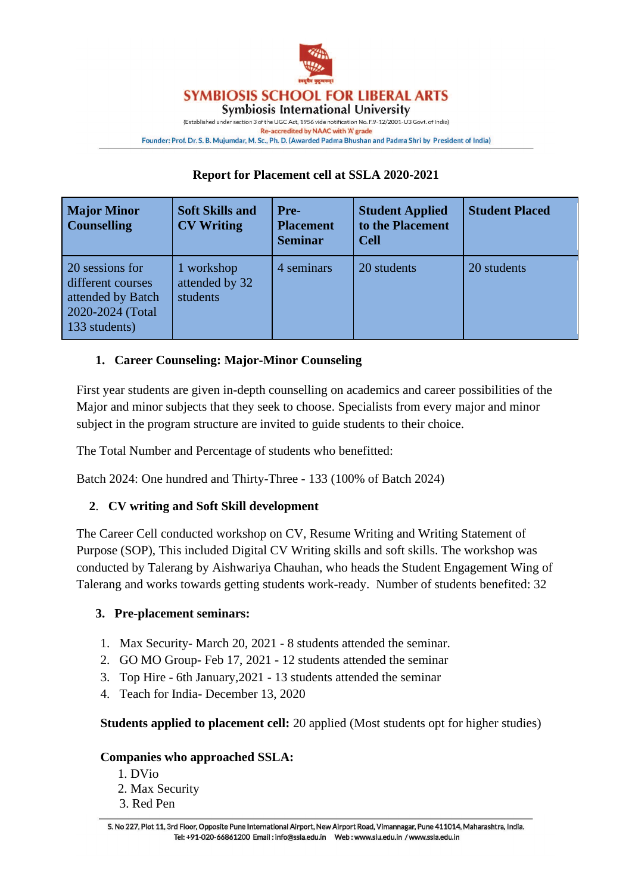

## **SYMBIOSIS SCHOOL FOR LIBERAL ARTS**

**Symbiosis International University** 

(Established under section 3 of the UGC Act, 1956 vide notification No. F.9-12/2001-U3 Govt. of India) Re-accredited by NAAC with 'A' grade Founder: Prof. Dr. S. B. Mujumdar, M. Sc., Ph. D. (Awarded Padma Bhushan and Padma Shri by President of India)

## **Report for Placement cell at SSLA 2020-2021**

| <b>Major Minor</b><br><b>Counselling</b>                                                       | <b>Soft Skills and</b><br><b>CV Writing</b> | <b>Pre-</b><br><b>Placement</b><br><b>Seminar</b> | <b>Student Applied</b><br>to the Placement<br><b>Cell</b> | <b>Student Placed</b> |
|------------------------------------------------------------------------------------------------|---------------------------------------------|---------------------------------------------------|-----------------------------------------------------------|-----------------------|
| 20 sessions for<br>different courses<br>attended by Batch<br>2020-2024 (Total<br>133 students) | 1 workshop<br>attended by 32<br>students    | 4 seminars                                        | 20 students                                               | 20 students           |

## **1. Career Counseling: Major-Minor Counseling**

First year students are given in-depth counselling on academics and career possibilities of the Major and minor subjects that they seek to choose. Specialists from every major and minor subject in the program structure are invited to guide students to their choice.

The Total Number and Percentage of students who benefitted:

Batch 2024: One hundred and Thirty-Three - 133 (100% of Batch 2024)

## **2**. **CV writing and Soft Skill development**

The Career Cell conducted workshop on CV, Resume Writing and Writing Statement of Purpose (SOP), This included Digital CV Writing skills and soft skills. The workshop was conducted by Talerang by Aishwariya Chauhan, who heads the Student Engagement Wing of Talerang and works towards getting students work-ready. Number of students benefited: 32

## **3. Pre-placement seminars:**

- 1. Max Security- March 20, 2021 8 students attended the seminar.
- 2. GO MO Group- Feb 17, 2021 12 students attended the seminar
- 3. Top Hire 6th January,2021 13 students attended the seminar
- 4. Teach for India- December 13, 2020

**Students applied to placement cell:** 20 applied (Most students opt for higher studies)

### **Companies who approached SSLA:**

- 1. DVio
- 2. Max Security
- 3. Red Pen

S. No 227, Plot 11, 3rd Floor, Opposite Pune International Airport, New Airport Road, Vimannagar, Pune 411014, Maharashtra, India. Tel: +91-020-66861200 Email : info@ssla.edu.in Web : www.siu.edu.in / www.ssla.edu.in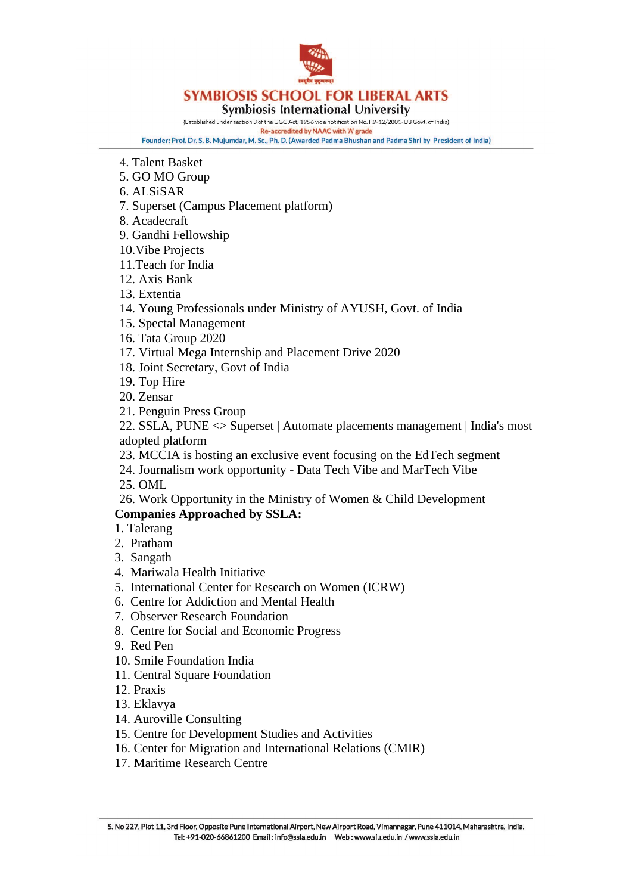

# **SYMBIOSIS SCHOOL FOR LIBERAL ARTS**

#### **Symbiosis International University**

(Established under section 3 of the UGC Act, 1956 vide notification No. F.9-12/2001-U3 Govt. of India)

Re-accredited by NAAC with 'A' grade Founder: Prof. Dr. S. B. Mujumdar, M. Sc., Ph. D. (Awarded Padma Bhushan and Padma Shri by President of India)

- 4. Talent Basket
- 5. GO MO Group
- 6. ALSiSAR
- 7. Superset (Campus Placement platform)
- 8. Acadecraft
- 9. Gandhi Fellowship
- 10.Vibe Projects
- 11.Teach for India
- 12. Axis Bank
- 13. Extentia
- 14. Young Professionals under Ministry of AYUSH, Govt. of India
- 15. Spectal Management
- 16. Tata Group 2020
- 17. Virtual Mega Internship and Placement Drive 2020
- 18. Joint Secretary, Govt of India
- 19. Top Hire
- 20. Zensar
- 21. Penguin Press Group
- 22. SSLA, PUNE <> Superset | Automate placements management | India's most adopted platform
- 23. MCCIA is hosting an exclusive event focusing on the EdTech segment
- 24. Journalism work opportunity Data Tech Vibe and MarTech Vibe
- 25. OML
- 26. Work Opportunity in the Ministry of Women & Child Development

## **Companies Approached by SSLA:**

- 1. Talerang
- 2. Pratham
- 3. Sangath
- 4. Mariwala Health Initiative
- 5. International Center for Research on Women (ICRW)
- 6. Centre for Addiction and Mental Health
- 7. Observer Research Foundation
- 8. Centre for Social and Economic Progress
- 9. Red Pen
- 10. Smile Foundation India
- 11. Central Square Foundation
- 12. Praxis
- 13. Eklavya
- 14. Auroville Consulting
- 15. Centre for Development Studies and Activities
- 16. Center for Migration and International Relations (CMIR)
- 17. Maritime Research Centre